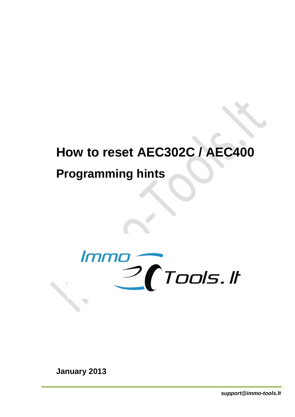# **How to reset AEC302C / AEC400**

# **Programming hints**



**January 2013**

*support@immo-tools.lt*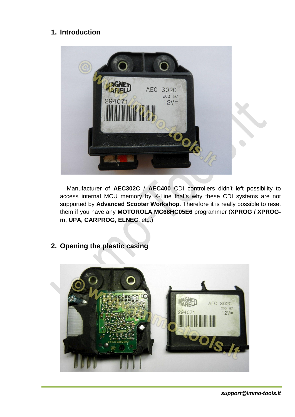## **1. Introduction**



Manufacturer of **AEC302C** / **AEC400** CDI controllers didn't left possibility to access internal MCU memory by K-Line that's why these CDI systems are not supported by **Advanced Scooter Workshop**. Therefore it is really possible to reset them if you have any **MOTOROLA MC68HC05E6** programmer (**XPROG / XPROGm**, **UPA**, **CARPROG**, **ELNEC**, etc.).

**2. Opening the plastic casing**

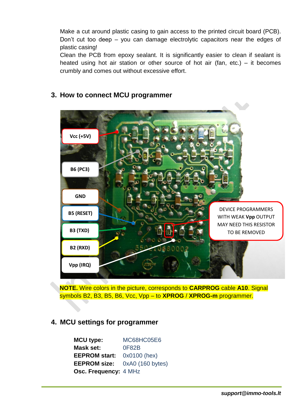Make a cut around plastic casing to gain access to the printed circuit board (PCB). Don't cut too deep – you can damage electrolytic capacitors near the edges of plastic casing!

Clean the PCB from epoxy sealant. It is significantly easier to clean if sealant is heated using hot air station or other source of hot air (fan, etc.) – it becomes crumbly and comes out without excessive effort.



#### **3. How to connect MCU programmer**

**NOTE.** Wire colors in the picture, corresponds to **CARPROG** cable **A10**. Signal symbols B2, B3, B5, B6, Vcc, Vpp – to **XPROG** / **XPROG-m** programmer.

#### **4. MCU settings for programmer**

**MCU type:** MC68HC05E6 **Mask set:** 0F82B **EEPROM start:** 0x0100 (hex) **EEPROM size:** 0xA0 (160 bytes) **Osc. Frequency:** 4 MHz